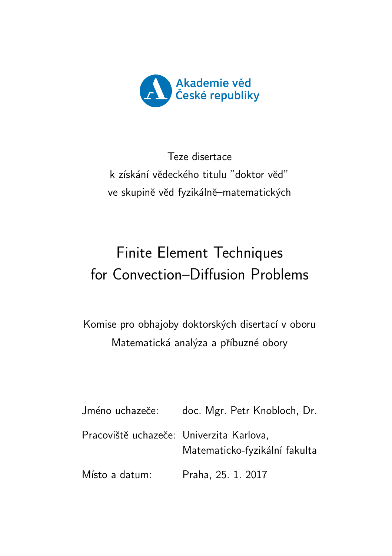

Teze disertace k získání vědeckého titulu "doktor věd" ve skupině věd fyzikálně–matematických

# Finite Element Techniques for Convection–Diffusion Problems

Komise pro obhajoby doktorských disertací v oboru Matematická analýza a příbuzné obory

| Jméno uchazeče:                          | doc. Mgr. Petr Knobloch, Dr.  |
|------------------------------------------|-------------------------------|
| Pracoviště uchazeče: Univerzita Karlova, | Matematicko-fyzikální fakulta |
| Místo a datum:                           | Praha, 25. 1. 2017            |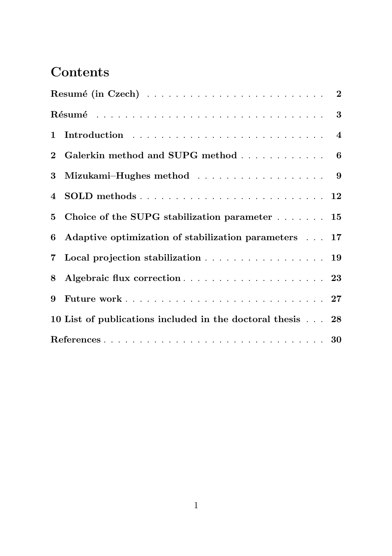## Contents

| 2 Galerkin method and SUPG method 6                        |  |
|------------------------------------------------------------|--|
| 3 Mizukami-Hughes method 9                                 |  |
|                                                            |  |
| 5 Choice of the SUPG stabilization parameter 15            |  |
| 6 Adaptive optimization of stabilization parameters 17     |  |
| 7 Local projection stabilization 19                        |  |
|                                                            |  |
|                                                            |  |
| 10 List of publications included in the doctoral thesis 28 |  |
|                                                            |  |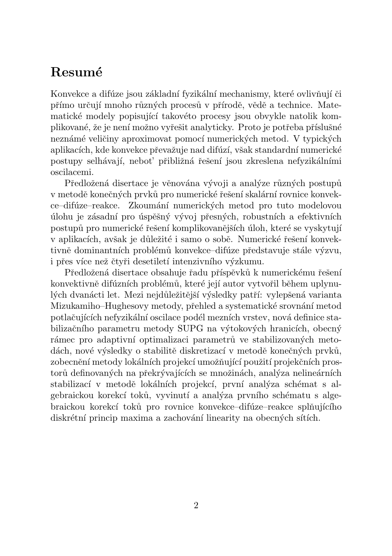### Resumé

Konvekce a difúze jsou základní fyzikální mechanismy, které ovlivňují či přímo určují mnoho různých procesů v přírodě, vědě a technice. Matematické modely popisující takovéto procesy jsou obvykle natolik komplikované, že je není možno vyřešit analyticky. Proto je potřeba příslušné neznámé veličiny aproximovat pomocí numerických metod. V typických aplikacích, kde konvekce převažuje nad difúzí, však standardní numerické postupy selhávají, neboť přibližná řešení jsou zkreslena nefyzikálními oscilacemi.

Předložená disertace je věnována vývoji a analýze různých postupů v metodě konečných prvků pro numerické řešení skalární rovnice konvekce–difúze–reakce. Zkoumání numerických metod pro tuto modelovou úlohu je zásadní pro úspěšný vývoj přesných, robustních a efektivních postupů pro numerické řešení komplikovanějších úloh, které se vyskytují v aplikacích, avšak je důležité i samo o sobě. Numerické řešení konvektivně dominantních problémů konvekce–difúze představuje stále výzvu, i přes více než čtyři desetiletí intenzivního výzkumu.

Předložená disertace obsahuje řadu příspěvků k numerickému řešení konvektivně difúzních problémů, které její autor vytvořil během uplynulých dvanácti let. Mezi nejdůležitější výsledky patří: vylepšená varianta Mizukamiho–Hughesovy metody, přehled a systematické srovnání metod potlačujících nefyzikální oscilace podél mezních vrstev, nová definice stabilizačního parametru metody SUPG na výtokových hranicích, obecný rámec pro adaptivní optimalizaci parametrů ve stabilizovaných metodách, nové výsledky o stabilitě diskretizací v metodě konečných prvků, zobecnění metody lokálních projekcí umožňující použití projekčních prostorů definovaných na překrývajících se množinách, analýza nelineárních stabilizací v metodě lokálních projekcí, první analýza schémat s algebraickou korekcí toků, vyvinutí a analýza prvního schématu s algebraickou korekcí toků pro rovnice konvekce–difúze–reakce splňujícího diskrétní princip maxima a zachování linearity na obecných sítích.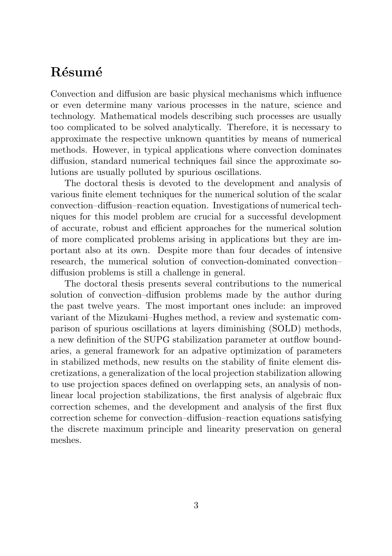### Résumé

Convection and diffusion are basic physical mechanisms which influence or even determine many various processes in the nature, science and technology. Mathematical models describing such processes are usually too complicated to be solved analytically. Therefore, it is necessary to approximate the respective unknown quantities by means of numerical methods. However, in typical applications where convection dominates diffusion, standard numerical techniques fail since the approximate solutions are usually polluted by spurious oscillations.

The doctoral thesis is devoted to the development and analysis of various finite element techniques for the numerical solution of the scalar convection–diffusion–reaction equation. Investigations of numerical techniques for this model problem are crucial for a successful development of accurate, robust and efficient approaches for the numerical solution of more complicated problems arising in applications but they are important also at its own. Despite more than four decades of intensive research, the numerical solution of convection-dominated convection– diffusion problems is still a challenge in general.

The doctoral thesis presents several contributions to the numerical solution of convection–diffusion problems made by the author during the past twelve years. The most important ones include: an improved variant of the Mizukami–Hughes method, a review and systematic comparison of spurious oscillations at layers diminishing (SOLD) methods, a new definition of the SUPG stabilization parameter at outflow boundaries, a general framework for an adpative optimization of parameters in stabilized methods, new results on the stability of finite element discretizations, a generalization of the local projection stabilization allowing to use projection spaces defined on overlapping sets, an analysis of nonlinear local projection stabilizations, the first analysis of algebraic flux correction schemes, and the development and analysis of the first flux correction scheme for convection–diffusion–reaction equations satisfying the discrete maximum principle and linearity preservation on general meshes.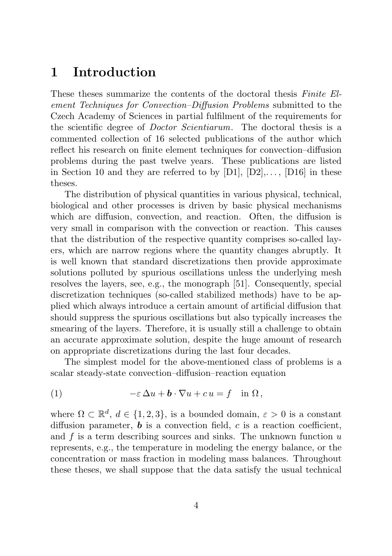### 1 Introduction

These theses summarize the contents of the doctoral thesis Finite Element Techniques for Convection–Diffusion Problems submitted to the Czech Academy of Sciences in partial fulfilment of the requirements for the scientific degree of Doctor Scientiarum. The doctoral thesis is a commented collection of 16 selected publications of the author which reflect his research on finite element techniques for convection–diffusion problems during the past twelve years. These publications are listed in Section 10 and they are referred to by  $[D1]$ ,  $[D2]$ ,...,  $[D16]$  in these theses.

The distribution of physical quantities in various physical, technical, biological and other processes is driven by basic physical mechanisms which are diffusion, convection, and reaction. Often, the diffusion is very small in comparison with the convection or reaction. This causes that the distribution of the respective quantity comprises so-called layers, which are narrow regions where the quantity changes abruptly. It is well known that standard discretizations then provide approximate solutions polluted by spurious oscillations unless the underlying mesh resolves the layers, see, e.g., the monograph [51]. Consequently, special discretization techniques (so-called stabilized methods) have to be applied which always introduce a certain amount of artificial diffusion that should suppress the spurious oscillations but also typically increases the smearing of the layers. Therefore, it is usually still a challenge to obtain an accurate approximate solution, despite the huge amount of research on appropriate discretizations during the last four decades.

The simplest model for the above-mentioned class of problems is a scalar steady-state convection–diffusion–reaction equation

(1) 
$$
-\varepsilon \Delta u + \mathbf{b} \cdot \nabla u + c u = f \quad \text{in } \Omega,
$$

where  $\Omega \subset \mathbb{R}^d$ ,  $d \in \{1, 2, 3\}$ , is a bounded domain,  $\varepsilon > 0$  is a constant diffusion parameter,  $\boldsymbol{b}$  is a convection field,  $c$  is a reaction coefficient, and  $f$  is a term describing sources and sinks. The unknown function  $u$ represents, e.g., the temperature in modeling the energy balance, or the concentration or mass fraction in modeling mass balances. Throughout these theses, we shall suppose that the data satisfy the usual technical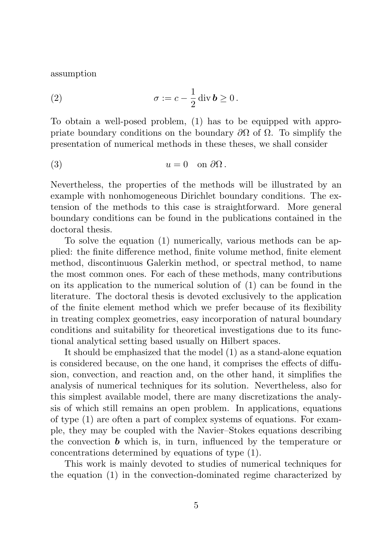assumption

(2) 
$$
\sigma := c - \frac{1}{2} \operatorname{div} \boldsymbol{b} \ge 0.
$$

To obtain a well-posed problem, (1) has to be equipped with appropriate boundary conditions on the boundary  $\partial\Omega$  of  $\Omega$ . To simplify the presentation of numerical methods in these theses, we shall consider

(3) 
$$
u = 0
$$
 on  $\partial\Omega$ .

Nevertheless, the properties of the methods will be illustrated by an example with nonhomogeneous Dirichlet boundary conditions. The extension of the methods to this case is straightforward. More general boundary conditions can be found in the publications contained in the doctoral thesis.

To solve the equation (1) numerically, various methods can be applied: the finite difference method, finite volume method, finite element method, discontinuous Galerkin method, or spectral method, to name the most common ones. For each of these methods, many contributions on its application to the numerical solution of (1) can be found in the literature. The doctoral thesis is devoted exclusively to the application of the finite element method which we prefer because of its flexibility in treating complex geometries, easy incorporation of natural boundary conditions and suitability for theoretical investigations due to its functional analytical setting based usually on Hilbert spaces.

It should be emphasized that the model (1) as a stand-alone equation is considered because, on the one hand, it comprises the effects of diffusion, convection, and reaction and, on the other hand, it simplifies the analysis of numerical techniques for its solution. Nevertheless, also for this simplest available model, there are many discretizations the analysis of which still remains an open problem. In applications, equations of type (1) are often a part of complex systems of equations. For example, they may be coupled with the Navier–Stokes equations describing the convection  $\boldsymbol{b}$  which is, in turn, influenced by the temperature or concentrations determined by equations of type (1).

This work is mainly devoted to studies of numerical techniques for the equation (1) in the convection-dominated regime characterized by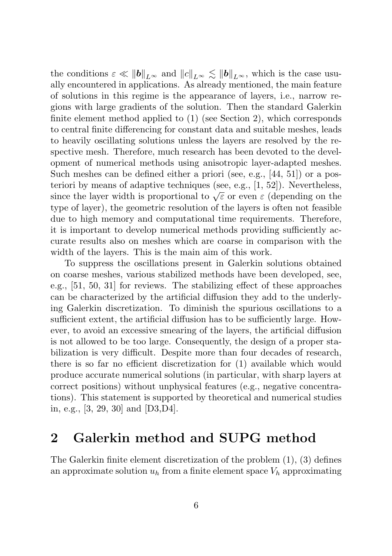the conditions  $\varepsilon \ll ||\boldsymbol{b}||_{L^{\infty}}$  and  $||c||_{L^{\infty}} \le ||\boldsymbol{b}||_{L^{\infty}}$ , which is the case usually encountered in applications. As already mentioned, the main feature of solutions in this regime is the appearance of layers, i.e., narrow regions with large gradients of the solution. Then the standard Galerkin finite element method applied to (1) (see Section 2), which corresponds to central finite differencing for constant data and suitable meshes, leads to heavily oscillating solutions unless the layers are resolved by the respective mesh. Therefore, much research has been devoted to the development of numerical methods using anisotropic layer-adapted meshes. Such meshes can be defined either a priori (see, e.g., [44, 51]) or a posteriori by means of adaptive techniques (see, e.g., [1, 52]). Nevertheless, since the layer width is proportional to  $\sqrt{\varepsilon}$  or even  $\varepsilon$  (depending on the type of layer), the geometric resolution of the layers is often not feasible due to high memory and computational time requirements. Therefore, it is important to develop numerical methods providing sufficiently accurate results also on meshes which are coarse in comparison with the width of the layers. This is the main aim of this work.

To suppress the oscillations present in Galerkin solutions obtained on coarse meshes, various stabilized methods have been developed, see, e.g., [51, 50, 31] for reviews. The stabilizing effect of these approaches can be characterized by the artificial diffusion they add to the underlying Galerkin discretization. To diminish the spurious oscillations to a sufficient extent, the artificial diffusion has to be sufficiently large. However, to avoid an excessive smearing of the layers, the artificial diffusion is not allowed to be too large. Consequently, the design of a proper stabilization is very difficult. Despite more than four decades of research, there is so far no efficient discretization for (1) available which would produce accurate numerical solutions (in particular, with sharp layers at correct positions) without unphysical features (e.g., negative concentrations). This statement is supported by theoretical and numerical studies in, e.g., [3, 29, 30] and [D3,D4].

### 2 Galerkin method and SUPG method

The Galerkin finite element discretization of the problem (1), (3) defines an approximate solution  $u_h$  from a finite element space  $V_h$  approximating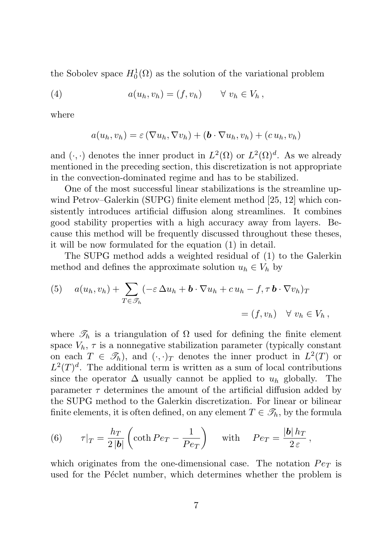the Sobolev space  $H_0^1(\Omega)$  as the solution of the variational problem

(4) 
$$
a(u_h, v_h) = (f, v_h) \quad \forall \ v_h \in V_h,
$$

where

$$
a(u_h, v_h) = \varepsilon (\nabla u_h, \nabla v_h) + (\boldsymbol{b} \cdot \nabla u_h, v_h) + (c u_h, v_h)
$$

and  $(\cdot, \cdot)$  denotes the inner product in  $L^2(\Omega)$  or  $L^2(\Omega)^d$ . As we already mentioned in the preceding section, this discretization is not appropriate in the convection-dominated regime and has to be stabilized.

One of the most successful linear stabilizations is the streamline upwind Petrov–Galerkin (SUPG) finite element method [25, 12] which consistently introduces artificial diffusion along streamlines. It combines good stability properties with a high accuracy away from layers. Because this method will be frequently discussed throughout these theses, it will be now formulated for the equation (1) in detail.

The SUPG method adds a weighted residual of (1) to the Galerkin method and defines the approximate solution  $u_h \in V_h$  by

(5) 
$$
a(u_h, v_h) + \sum_{T \in \mathcal{F}_h} (-\varepsilon \Delta u_h + \mathbf{b} \cdot \nabla u_h + c u_h - f, \tau \mathbf{b} \cdot \nabla v_h)_T
$$

$$
= (f, v_h) \quad \forall \ v_h \in V_h,
$$

where  $\mathscr{T}_h$  is a triangulation of  $\Omega$  used for defining the finite element space  $V_h$ ,  $\tau$  is a nonnegative stabilization parameter (typically constant on each  $T \in \mathcal{T}_h$ , and  $(\cdot, \cdot)_T$  denotes the inner product in  $L^2(T)$  or  $L^2(T)^d$ . The additional term is written as a sum of local contributions since the operator  $\Delta$  usually cannot be applied to  $u_h$  globally. The parameter  $\tau$  determines the amount of the artificial diffusion added by the SUPG method to the Galerkin discretization. For linear or bilinear finite elements, it is often defined, on any element  $T \in \mathcal{T}_h$ , by the formula

(6) 
$$
\tau|_T = \frac{h_T}{2|\mathbf{b}|} \left( \coth Pe_T - \frac{1}{Pe_T} \right)
$$
 with  $Pe_T = \frac{|\mathbf{b}| h_T}{2 \varepsilon}$ ,

which originates from the one-dimensional case. The notation  $Pe_T$  is used for the Péclet number, which determines whether the problem is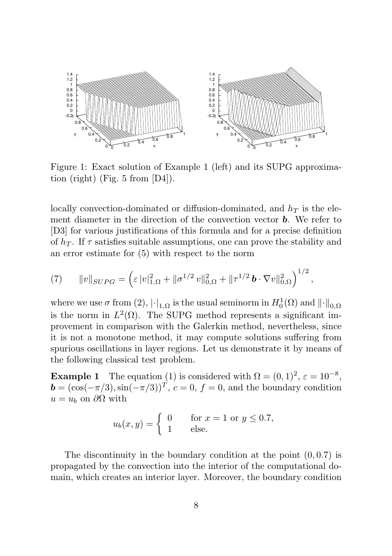

Figure 1: Exact solution of Example 1 (left) and its SUPG approximation (right) (Fig. 5 from [D4]).

locally convection-dominated or diffusion-dominated, and  $h_T$  is the element diameter in the direction of the convection vector  $\boldsymbol{b}$ . We refer to [D3] for various justifications of this formula and for a precise definition of  $h_T$ . If  $\tau$  satisfies suitable assumptions, one can prove the stability and an error estimate for (5) with respect to the norm

(7) 
$$
\|v\|_{SUPG} = \left(\varepsilon\,|v|_{1,\Omega}^2 + \|\sigma^{1/2} v\|_{0,\Omega}^2 + \|\tau^{1/2} \, \boldsymbol{b} \cdot \nabla v\|_{0,\Omega}^2\right)^{1/2},
$$

where we use  $\sigma$  from (2),  $|\cdot|_{1,\Omega}$  is the usual seminorm in  $H_0^1(\Omega)$  and  $\lVert \cdot \rVert_{0,\Omega}$ is the norm in  $L^2(\Omega)$ . The SUPG method represents a significant improvement in comparison with the Galerkin method, nevertheless, since it is not a monotone method, it may compute solutions suffering from spurious oscillations in layer regions. Let us demonstrate it by means of the following classical test problem.

**Example 1** The equation (1) is considered with  $\Omega = (0, 1)^2$ ,  $\varepsilon = 10^{-8}$ ,  $\mathbf{b} = (\cos(-\pi/3), \sin(-\pi/3))^T, c = 0, f = 0$ , and the boundary condition  $u = u_b$  on  $\partial\Omega$  with

$$
u_b(x,y) = \begin{cases} 0 & \text{for } x = 1 \text{ or } y \le 0.7, \\ 1 & \text{else.} \end{cases}
$$

The discontinuity in the boundary condition at the point  $(0, 0.7)$  is propagated by the convection into the interior of the computational domain, which creates an interior layer. Moreover, the boundary condition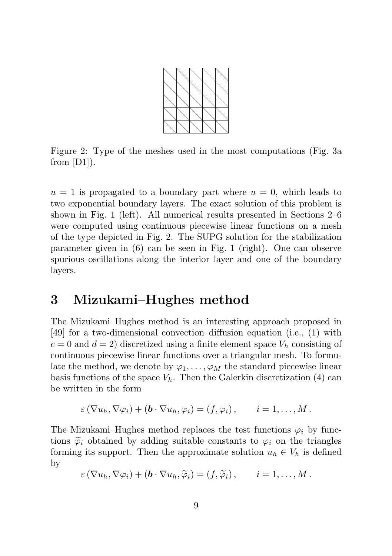

Figure 2: Type of the meshes used in the most computations (Fig. 3a from  $[D1]$ ).

 $u = 1$  is propagated to a boundary part where  $u = 0$ , which leads to two exponential boundary layers. The exact solution of this problem is shown in Fig. 1 (left). All numerical results presented in Sections 2–6 were computed using continuous piecewise linear functions on a mesh of the type depicted in Fig. 2. The SUPG solution for the stabilization parameter given in (6) can be seen in Fig. 1 (right). One can observe spurious oscillations along the interior layer and one of the boundary layers.

### 3 Mizukami–Hughes method

The Mizukami–Hughes method is an interesting approach proposed in [49] for a two-dimensional convection–diffusion equation (i.e., (1) with  $c = 0$  and  $d = 2$ ) discretized using a finite element space  $V_h$  consisting of continuous piecewise linear functions over a triangular mesh. To formulate the method, we denote by  $\varphi_1, \ldots, \varphi_M$  the standard piecewise linear basis functions of the space  $V_h$ . Then the Galerkin discretization (4) can be written in the form

$$
\varepsilon\left(\nabla u_h, \nabla \varphi_i\right) + \left(\mathbf{b} \cdot \nabla u_h, \varphi_i\right) = \left(f, \varphi_i\right), \qquad i = 1, \ldots, M.
$$

The Mizukami–Hughes method replaces the test functions  $\varphi_i$  by functions  $\tilde{\varphi}_i$  obtained by adding suitable constants to  $\varphi_i$  on the triangles forming its support. Then the approximate solution  $u_h \in V_h$  is defined by

$$
\varepsilon\left(\nabla u_h, \nabla \varphi_i\right) + \left(\mathbf{b} \cdot \nabla u_h, \widetilde{\varphi}_i\right) = \left(f, \widetilde{\varphi}_i\right), \qquad i = 1, \ldots, M.
$$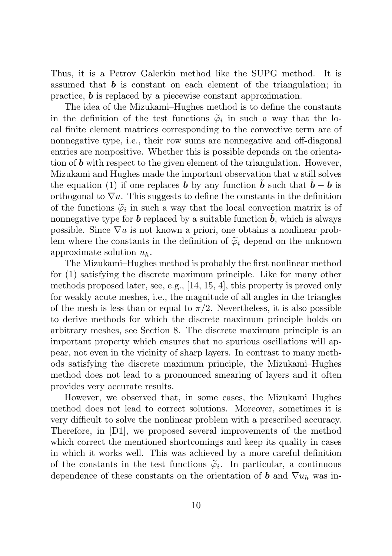Thus, it is a Petrov–Galerkin method like the SUPG method. It is assumed that  $\boldsymbol{b}$  is constant on each element of the triangulation; in practice, b is replaced by a piecewise constant approximation.

The idea of the Mizukami–Hughes method is to define the constants in the definition of the test functions  $\tilde{\varphi}_i$  in such a way that the lo-<br>cal finite element matrices corresponding to the convective term are of cal finite element matrices corresponding to the convective term are of nonnegative type, i.e., their row sums are nonnegative and off-diagonal entries are nonpositive. Whether this is possible depends on the orientation of  $\boldsymbol{b}$  with respect to the given element of the triangulation. However, Mizukami and Hughes made the important observation that u still solves the equation (1) if one replaces **b** by any function  $\ddot{b}$  such that  $\ddot{b} - b$  is orthogonal to  $\nabla u$ . This suggests to define the constants in the definition of the functions  $\tilde{\varphi}_i$  in such a way that the local convection matrix is of<br>nonnegative type for **b** replaced by a suitable function  $\tilde{b}$ , which is always nonnegative type for  $\boldsymbol{b}$  replaced by a suitable function  $\boldsymbol{b}$ , which is always possible. Since  $\nabla u$  is not known a priori, one obtains a nonlinear problem where the constants in the definition of  $\tilde{\varphi}_i$  depend on the unknown approximate solution  $u_h$ .

The Mizukami–Hughes method is probably the first nonlinear method for (1) satisfying the discrete maximum principle. Like for many other methods proposed later, see, e.g., [14, 15, 4], this property is proved only for weakly acute meshes, i.e., the magnitude of all angles in the triangles of the mesh is less than or equal to  $\pi/2$ . Nevertheless, it is also possible to derive methods for which the discrete maximum principle holds on arbitrary meshes, see Section 8. The discrete maximum principle is an important property which ensures that no spurious oscillations will appear, not even in the vicinity of sharp layers. In contrast to many methods satisfying the discrete maximum principle, the Mizukami–Hughes method does not lead to a pronounced smearing of layers and it often provides very accurate results.

However, we observed that, in some cases, the Mizukami–Hughes method does not lead to correct solutions. Moreover, sometimes it is very difficult to solve the nonlinear problem with a prescribed accuracy. Therefore, in [D1], we proposed several improvements of the method which correct the mentioned shortcomings and keep its quality in cases in which it works well. This was achieved by a more careful definition of the constants in the test functions  $\tilde{\varphi}_i$ . In particular, a continuous<br>dependence of these constants on the crientation of **b** and  $\nabla u$ , was in dependence of these constants on the orientation of **b** and  $\nabla u_h$  was in-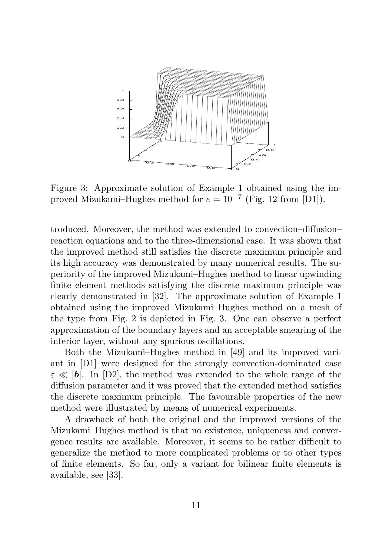

Figure 3: Approximate solution of Example 1 obtained using the improved Mizukami–Hughes method for  $\varepsilon = 10^{-7}$  (Fig. 12 from [D1]).

troduced. Moreover, the method was extended to convection–diffusion– reaction equations and to the three-dimensional case. It was shown that the improved method still satisfies the discrete maximum principle and its high accuracy was demonstrated by many numerical results. The superiority of the improved Mizukami–Hughes method to linear upwinding finite element methods satisfying the discrete maximum principle was clearly demonstrated in [32]. The approximate solution of Example 1 obtained using the improved Mizukami–Hughes method on a mesh of the type from Fig. 2 is depicted in Fig. 3. One can observe a perfect approximation of the boundary layers and an acceptable smearing of the interior layer, without any spurious oscillations.

Both the Mizukami–Hughes method in [49] and its improved variant in [D1] were designed for the strongly convection-dominated case  $\varepsilon \ll |\mathbf{b}|$ . In [D2], the method was extended to the whole range of the diffusion parameter and it was proved that the extended method satisfies the discrete maximum principle. The favourable properties of the new method were illustrated by means of numerical experiments.

A drawback of both the original and the improved versions of the Mizukami–Hughes method is that no existence, uniqueness and convergence results are available. Moreover, it seems to be rather difficult to generalize the method to more complicated problems or to other types of finite elements. So far, only a variant for bilinear finite elements is available, see [33].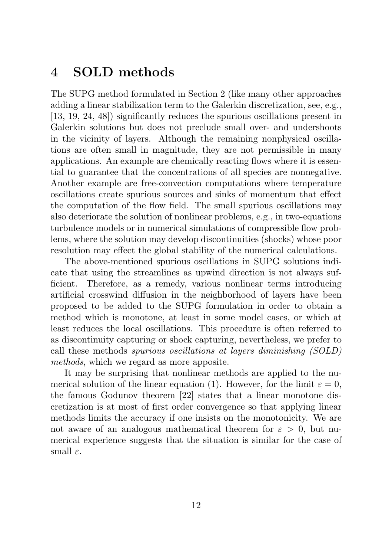### 4 SOLD methods

The SUPG method formulated in Section 2 (like many other approaches adding a linear stabilization term to the Galerkin discretization, see, e.g., [13, 19, 24, 48]) significantly reduces the spurious oscillations present in Galerkin solutions but does not preclude small over- and undershoots in the vicinity of layers. Although the remaining nonphysical oscillations are often small in magnitude, they are not permissible in many applications. An example are chemically reacting flows where it is essential to guarantee that the concentrations of all species are nonnegative. Another example are free-convection computations where temperature oscillations create spurious sources and sinks of momentum that effect the computation of the flow field. The small spurious oscillations may also deteriorate the solution of nonlinear problems, e.g., in two-equations turbulence models or in numerical simulations of compressible flow problems, where the solution may develop discontinuities (shocks) whose poor resolution may effect the global stability of the numerical calculations.

The above-mentioned spurious oscillations in SUPG solutions indicate that using the streamlines as upwind direction is not always sufficient. Therefore, as a remedy, various nonlinear terms introducing artificial crosswind diffusion in the neighborhood of layers have been proposed to be added to the SUPG formulation in order to obtain a method which is monotone, at least in some model cases, or which at least reduces the local oscillations. This procedure is often referred to as discontinuity capturing or shock capturing, nevertheless, we prefer to call these methods spurious oscillations at layers diminishing (SOLD) methods, which we regard as more apposite.

It may be surprising that nonlinear methods are applied to the numerical solution of the linear equation (1). However, for the limit  $\varepsilon = 0$ , the famous Godunov theorem [22] states that a linear monotone discretization is at most of first order convergence so that applying linear methods limits the accuracy if one insists on the monotonicity. We are not aware of an analogous mathematical theorem for  $\varepsilon > 0$ , but numerical experience suggests that the situation is similar for the case of small  $\varepsilon$ .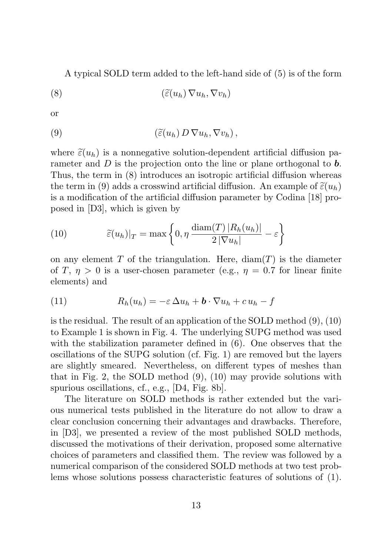A typical SOLD term added to the left-hand side of (5) is of the form

$$
\left(\widetilde{\varepsilon}(u_h)\,\nabla u_h,\nabla v_h\right)
$$

or

(9) 
$$
(\widetilde{\varepsilon}(u_h) D \nabla u_h, \nabla v_h),
$$

where  $\tilde{\varepsilon}(u_h)$  is a nonnegative solution-dependent artificial diffusion parameter and  $D$  is the projection onto the line or plane orthogonal to  $\bm{b}$ . Thus, the term in (8) introduces an isotropic artificial diffusion whereas the term in (9) adds a crosswind artificial diffusion. An example of  $\tilde{\varepsilon}(u_h)$ is a modification of the artificial diffusion parameter by Codina [18] proposed in [D3], which is given by

(10) 
$$
\widetilde{\varepsilon}(u_h)|_T = \max\left\{0, \eta \, \frac{\text{diam}(T) \, |R_h(u_h)|}{2 \, |\nabla u_h|} - \varepsilon\right\}
$$

on any element T of the triangulation. Here,  $\text{diam}(T)$  is the diameter of T,  $\eta > 0$  is a user-chosen parameter (e.g.,  $\eta = 0.7$  for linear finite elements) and

(11) 
$$
R_h(u_h) = -\varepsilon \Delta u_h + \mathbf{b} \cdot \nabla u_h + c u_h - f
$$

is the residual. The result of an application of the SOLD method (9), (10) to Example 1 is shown in Fig. 4. The underlying SUPG method was used with the stabilization parameter defined in (6). One observes that the oscillations of the SUPG solution (cf. Fig. 1) are removed but the layers are slightly smeared. Nevertheless, on different types of meshes than that in Fig. 2, the SOLD method (9), (10) may provide solutions with spurious oscillations, cf., e.g., [D4, Fig. 8b].

The literature on SOLD methods is rather extended but the various numerical tests published in the literature do not allow to draw a clear conclusion concerning their advantages and drawbacks. Therefore, in [D3], we presented a review of the most published SOLD methods, discussed the motivations of their derivation, proposed some alternative choices of parameters and classified them. The review was followed by a numerical comparison of the considered SOLD methods at two test problems whose solutions possess characteristic features of solutions of (1).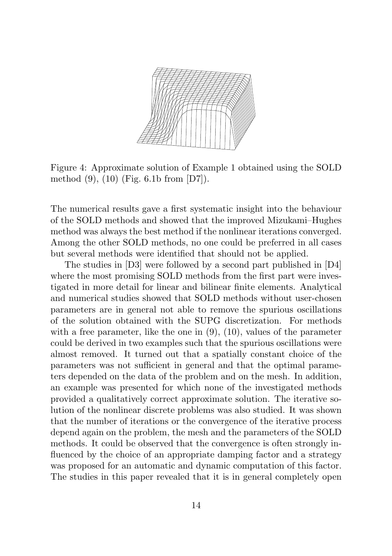

Figure 4: Approximate solution of Example 1 obtained using the SOLD method (9), (10) (Fig. 6.1b from [D7]).

The numerical results gave a first systematic insight into the behaviour of the SOLD methods and showed that the improved Mizukami–Hughes method was always the best method if the nonlinear iterations converged. Among the other SOLD methods, no one could be preferred in all cases but several methods were identified that should not be applied.

The studies in [D3] were followed by a second part published in [D4] where the most promising SOLD methods from the first part were investigated in more detail for linear and bilinear finite elements. Analytical and numerical studies showed that SOLD methods without user-chosen parameters are in general not able to remove the spurious oscillations of the solution obtained with the SUPG discretization. For methods with a free parameter, like the one in  $(9)$ ,  $(10)$ , values of the parameter could be derived in two examples such that the spurious oscillations were almost removed. It turned out that a spatially constant choice of the parameters was not sufficient in general and that the optimal parameters depended on the data of the problem and on the mesh. In addition, an example was presented for which none of the investigated methods provided a qualitatively correct approximate solution. The iterative solution of the nonlinear discrete problems was also studied. It was shown that the number of iterations or the convergence of the iterative process depend again on the problem, the mesh and the parameters of the SOLD methods. It could be observed that the convergence is often strongly influenced by the choice of an appropriate damping factor and a strategy was proposed for an automatic and dynamic computation of this factor. The studies in this paper revealed that it is in general completely open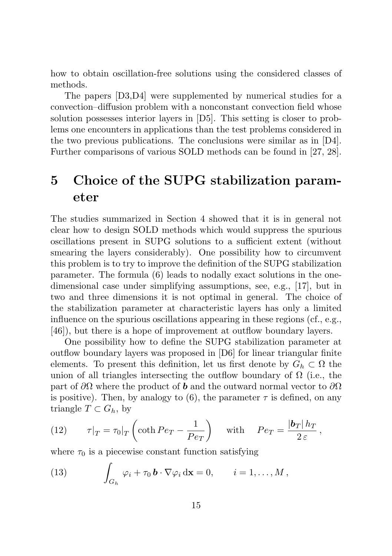how to obtain oscillation-free solutions using the considered classes of methods.

The papers [D3,D4] were supplemented by numerical studies for a convection–diffusion problem with a nonconstant convection field whose solution possesses interior layers in [D5]. This setting is closer to problems one encounters in applications than the test problems considered in the two previous publications. The conclusions were similar as in [D4]. Further comparisons of various SOLD methods can be found in [27, 28].

### 5 Choice of the SUPG stabilization parameter

The studies summarized in Section 4 showed that it is in general not clear how to design SOLD methods which would suppress the spurious oscillations present in SUPG solutions to a sufficient extent (without smearing the layers considerably). One possibility how to circumvent this problem is to try to improve the definition of the SUPG stabilization parameter. The formula (6) leads to nodally exact solutions in the onedimensional case under simplifying assumptions, see, e.g., [17], but in two and three dimensions it is not optimal in general. The choice of the stabilization parameter at characteristic layers has only a limited influence on the spurious oscillations appearing in these regions (cf., e.g., [46]), but there is a hope of improvement at outflow boundary layers.

One possibility how to define the SUPG stabilization parameter at outflow boundary layers was proposed in [D6] for linear triangular finite elements. To present this definition, let us first denote by  $G_h \subset \Omega$  the union of all triangles intersecting the outflow boundary of  $\Omega$  (i.e., the part of  $\partial\Omega$  where the product of **b** and the outward normal vector to  $\partial\Omega$ is positive). Then, by analogy to  $(6)$ , the parameter  $\tau$  is defined, on any triangle  $T \subset G_h$ , by

(12) 
$$
\tau|_T = \tau_0|_T \left(\coth Pe_T - \frac{1}{Pe_T}\right) \quad \text{with} \quad Pe_T = \frac{|b_T|h_T|}{2\,\varepsilon},
$$

where  $\tau_0$  is a piecewise constant function satisfying

(13) 
$$
\int_{G_h} \varphi_i + \tau_0 \mathbf{b} \cdot \nabla \varphi_i \, \mathrm{d} \mathbf{x} = 0, \qquad i = 1, \dots, M,
$$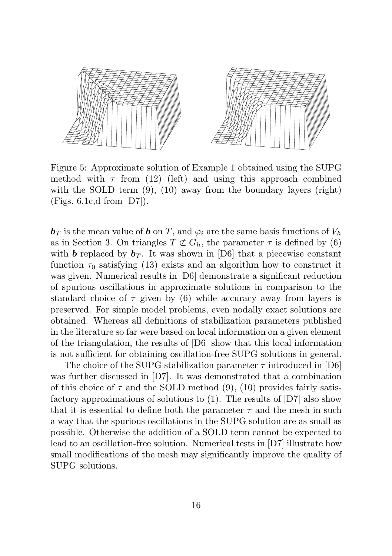

Figure 5: Approximate solution of Example 1 obtained using the SUPG method with  $\tau$  from (12) (left) and using this approach combined with the SOLD term  $(9)$ ,  $(10)$  away from the boundary layers (right) (Figs. 6.1c,d from [D7]).

 $\mathbf{b}_T$  is the mean value of  $\mathbf{b}$  on T, and  $\varphi_i$  are the same basis functions of  $V_h$ as in Section 3. On triangles  $T \not\subset G_h$ , the parameter  $\tau$  is defined by (6) with **b** replaced by  $b_T$ . It was shown in [D6] that a piecewise constant function  $\tau_0$  satisfying (13) exists and an algorithm how to construct it was given. Numerical results in [D6] demonstrate a significant reduction of spurious oscillations in approximate solutions in comparison to the standard choice of  $\tau$  given by (6) while accuracy away from layers is preserved. For simple model problems, even nodally exact solutions are obtained. Whereas all definitions of stabilization parameters published in the literature so far were based on local information on a given element of the triangulation, the results of [D6] show that this local information is not sufficient for obtaining oscillation-free SUPG solutions in general.

The choice of the SUPG stabilization parameter  $\tau$  introduced in [D6] was further discussed in [D7]. It was demonstrated that a combination of this choice of  $\tau$  and the SOLD method (9), (10) provides fairly satisfactory approximations of solutions to (1). The results of [D7] also show that it is essential to define both the parameter  $\tau$  and the mesh in such a way that the spurious oscillations in the SUPG solution are as small as possible. Otherwise the addition of a SOLD term cannot be expected to lead to an oscillation-free solution. Numerical tests in [D7] illustrate how small modifications of the mesh may significantly improve the quality of SUPG solutions.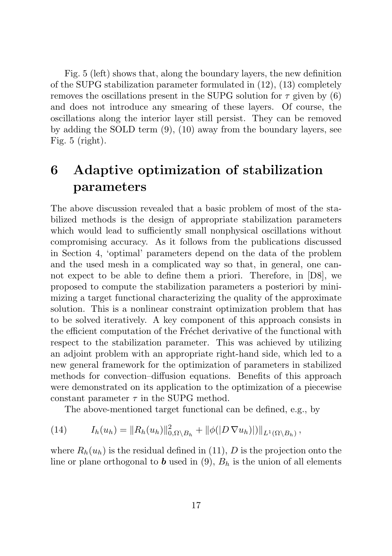Fig. 5 (left) shows that, along the boundary layers, the new definition of the SUPG stabilization parameter formulated in (12), (13) completely removes the oscillations present in the SUPG solution for  $\tau$  given by (6) and does not introduce any smearing of these layers. Of course, the oscillations along the interior layer still persist. They can be removed by adding the SOLD term (9), (10) away from the boundary layers, see Fig. 5 (right).

### 6 Adaptive optimization of stabilization parameters

The above discussion revealed that a basic problem of most of the stabilized methods is the design of appropriate stabilization parameters which would lead to sufficiently small nonphysical oscillations without compromising accuracy. As it follows from the publications discussed in Section 4, 'optimal' parameters depend on the data of the problem and the used mesh in a complicated way so that, in general, one cannot expect to be able to define them a priori. Therefore, in [D8], we proposed to compute the stabilization parameters a posteriori by minimizing a target functional characterizing the quality of the approximate solution. This is a nonlinear constraint optimization problem that has to be solved iteratively. A key component of this approach consists in the efficient computation of the Fréchet derivative of the functional with respect to the stabilization parameter. This was achieved by utilizing an adjoint problem with an appropriate right-hand side, which led to a new general framework for the optimization of parameters in stabilized methods for convection–diffusion equations. Benefits of this approach were demonstrated on its application to the optimization of a piecewise constant parameter  $\tau$  in the SUPG method.

The above-mentioned target functional can be defined, e.g., by

(14) 
$$
I_h(u_h) = ||R_h(u_h)||_{0,\Omega\setminus B_h}^2 + ||\phi(|D \nabla u_h)|)||_{L^1(\Omega\setminus B_h)},
$$

where  $R_h(u_h)$  is the residual defined in (11), D is the projection onto the line or plane orthogonal to **b** used in (9),  $B_h$  is the union of all elements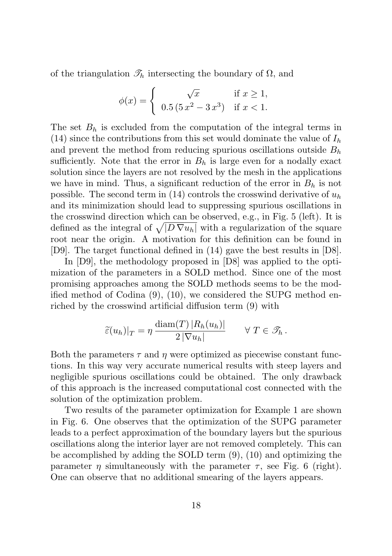of the triangulation  $\mathcal{T}_h$  intersecting the boundary of  $\Omega$ , and

$$
\phi(x) = \begin{cases} \sqrt{x} & \text{if } x \ge 1, \\ 0.5(5x^2 - 3x^3) & \text{if } x < 1. \end{cases}
$$

The set  $B_h$  is excluded from the computation of the integral terms in (14) since the contributions from this set would dominate the value of  $I_h$ and prevent the method from reducing spurious oscillations outside  $B_h$ sufficiently. Note that the error in  $B_h$  is large even for a nodally exact solution since the layers are not resolved by the mesh in the applications we have in mind. Thus, a significant reduction of the error in  $B_h$  is not possible. The second term in (14) controls the crosswind derivative of  $u_h$ and its minimization should lead to suppressing spurious oscillations in the crosswind direction which can be observed, e.g., in Fig. 5 (left). It is defined as the integral of  $\sqrt{|D \nabla u_h|}$  with a regularization of the square root near the origin. A motivation for this definition can be found in [D9]. The target functional defined in (14) gave the best results in [D8].

In [D9], the methodology proposed in [D8] was applied to the optimization of the parameters in a SOLD method. Since one of the most promising approaches among the SOLD methods seems to be the modified method of Codina (9), (10), we considered the SUPG method enriched by the crosswind artificial diffusion term (9) with

$$
\widetilde{\varepsilon}(u_h)|_T = \eta \, \frac{\text{diam}(T) \, |R_h(u_h)|}{2 \, |\nabla u_h|} \qquad \forall \, T \in \mathcal{T}_h \, .
$$

Both the parameters  $\tau$  and  $\eta$  were optimized as piecewise constant functions. In this way very accurate numerical results with steep layers and negligible spurious oscillations could be obtained. The only drawback of this approach is the increased computational cost connected with the solution of the optimization problem.

Two results of the parameter optimization for Example 1 are shown in Fig. 6. One observes that the optimization of the SUPG parameter leads to a perfect approximation of the boundary layers but the spurious oscillations along the interior layer are not removed completely. This can be accomplished by adding the SOLD term (9), (10) and optimizing the parameter  $\eta$  simultaneously with the parameter  $\tau$ , see Fig. 6 (right). One can observe that no additional smearing of the layers appears.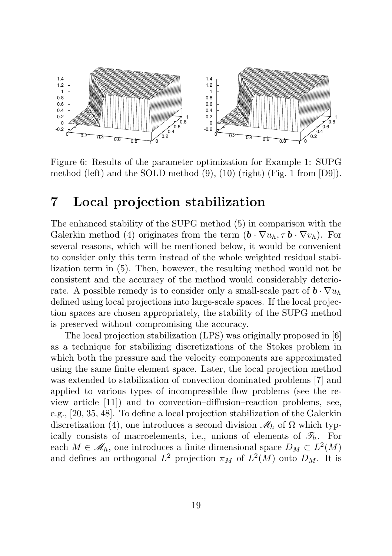

Figure 6: Results of the parameter optimization for Example 1: SUPG method (left) and the SOLD method (9), (10) (right) (Fig. 1 from [D9]).

### 7 Local projection stabilization

The enhanced stability of the SUPG method (5) in comparison with the Galerkin method (4) originates from the term  $(\mathbf{b} \cdot \nabla u_h, \tau \mathbf{b} \cdot \nabla v_h)$ . For several reasons, which will be mentioned below, it would be convenient to consider only this term instead of the whole weighted residual stabilization term in (5). Then, however, the resulting method would not be consistent and the accuracy of the method would considerably deteriorate. A possible remedy is to consider only a small-scale part of  $\mathbf{b} \cdot \nabla u_h$ defined using local projections into large-scale spaces. If the local projection spaces are chosen appropriately, the stability of the SUPG method is preserved without compromising the accuracy.

The local projection stabilization (LPS) was originally proposed in [6] as a technique for stabilizing discretizations of the Stokes problem in which both the pressure and the velocity components are approximated using the same finite element space. Later, the local projection method was extended to stabilization of convection dominated problems [7] and applied to various types of incompressible flow problems (see the review article [11]) and to convection–diffusion–reaction problems, see, e.g., [20, 35, 48]. To define a local projection stabilization of the Galerkin discretization (4), one introduces a second division  $\mathcal{M}_h$  of  $\Omega$  which typically consists of macroelements, i.e., unions of elements of  $\mathscr{T}_h$ . For each  $M \in \mathcal{M}_h$ , one introduces a finite dimensional space  $D_M \subset L^2(M)$ and defines an orthogonal  $L^2$  projection  $\pi_M$  of  $L^2(M)$  onto  $D_M$ . It is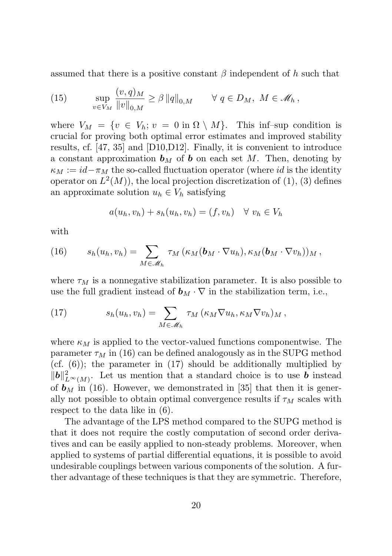assumed that there is a positive constant  $\beta$  independent of h such that

(15) 
$$
\sup_{v \in V_M} \frac{(v, q)_M}{\|v\|_{0,M}} \ge \beta \|q\|_{0,M} \quad \forall q \in D_M, M \in \mathcal{M}_h,
$$

where  $V_M = \{v \in V_h; v = 0 \text{ in } \Omega \setminus M\}.$  This inf–sup condition is crucial for proving both optimal error estimates and improved stability results, cf. [47, 35] and [D10,D12]. Finally, it is convenient to introduce a constant approximation  $\mathbf{b}_M$  of  $\mathbf{b}$  on each set M. Then, denoting by  $\kappa_M := id - \pi_M$  the so-called fluctuation operator (where id is the identity operator on  $L^2(M)$ , the local projection discretization of  $(1), (3)$  defines an approximate solution  $u_h \in V_h$  satisfying

$$
a(u_h, v_h) + s_h(u_h, v_h) = (f, v_h) \quad \forall \ v_h \in V_h
$$

with

(16) 
$$
s_h(u_h, v_h) = \sum_{M \in \mathscr{M}_h} \tau_M(\kappa_M(\boldsymbol{b}_M \cdot \nabla u_h), \kappa_M(\boldsymbol{b}_M \cdot \nabla v_h))_M,
$$

where  $\tau_M$  is a nonnegative stabilization parameter. It is also possible to use the full gradient instead of  $\mathbf{b}_M \cdot \nabla$  in the stabilization term, i.e.,

(17) 
$$
s_h(u_h, v_h) = \sum_{M \in \mathscr{M}_h} \tau_M(\kappa_M \nabla u_h, \kappa_M \nabla v_h)_M,
$$

where  $\kappa_M$  is applied to the vector-valued functions componentwise. The parameter  $\tau_M$  in (16) can be defined analogously as in the SUPG method (cf. (6)); the parameter in (17) should be additionally multiplied by  $||\boldsymbol{b}||_{L^{\infty}(M)}^2$ . Let us mention that a standard choice is to use **b** instead of  $\mathbf{b}_M$  in (16). However, we demonstrated in [35] that then it is generally not possible to obtain optimal convergence results if  $\tau_M$  scales with respect to the data like in (6).

The advantage of the LPS method compared to the SUPG method is that it does not require the costly computation of second order derivatives and can be easily applied to non-steady problems. Moreover, when applied to systems of partial differential equations, it is possible to avoid undesirable couplings between various components of the solution. A further advantage of these techniques is that they are symmetric. Therefore,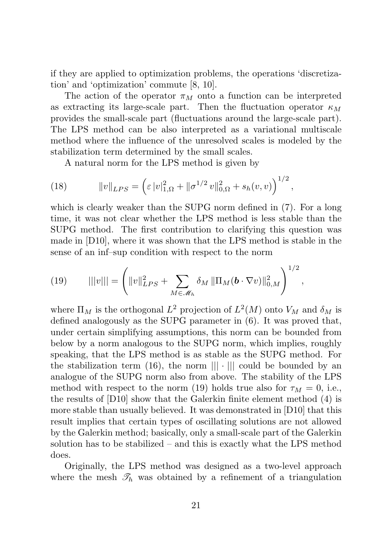if they are applied to optimization problems, the operations 'discretization' and 'optimization' commute [8, 10].

The action of the operator  $\pi_M$  onto a function can be interpreted as extracting its large-scale part. Then the fluctuation operator  $\kappa_M$ provides the small-scale part (fluctuations around the large-scale part). The LPS method can be also interpreted as a variational multiscale method where the influence of the unresolved scales is modeled by the stabilization term determined by the small scales.

A natural norm for the LPS method is given by

(18) 
$$
||v||_{LPS} = \left(\varepsilon |v|_{1,\Omega}^2 + ||\sigma^{1/2} v||_{0,\Omega}^2 + s_h(v,v)\right)^{1/2},
$$

which is clearly weaker than the SUPG norm defined in (7). For a long time, it was not clear whether the LPS method is less stable than the SUPG method. The first contribution to clarifying this question was made in [D10], where it was shown that the LPS method is stable in the sense of an inf–sup condition with respect to the norm

(19) 
$$
|||v||| = \left(||v||_{LPS}^2 + \sum_{M \in \mathscr{M}_h} \delta_M ||\Pi_M(\boldsymbol{b} \cdot \nabla v)||_{0,M}^2\right)^{1/2},
$$

where  $\Pi_M$  is the orthogonal  $L^2$  projection of  $L^2(M)$  onto  $V_M$  and  $\delta_M$  is defined analogously as the SUPG parameter in (6). It was proved that, under certain simplifying assumptions, this norm can be bounded from below by a norm analogous to the SUPG norm, which implies, roughly speaking, that the LPS method is as stable as the SUPG method. For the stabilization term (16), the norm  $|||\cdot|||$  could be bounded by an analogue of the SUPG norm also from above. The stability of the LPS method with respect to the norm (19) holds true also for  $\tau_M = 0$ , i.e., the results of [D10] show that the Galerkin finite element method (4) is more stable than usually believed. It was demonstrated in [D10] that this result implies that certain types of oscillating solutions are not allowed by the Galerkin method; basically, only a small-scale part of the Galerkin solution has to be stabilized – and this is exactly what the LPS method does.

Originally, the LPS method was designed as a two-level approach where the mesh  $\mathcal{T}_h$  was obtained by a refinement of a triangulation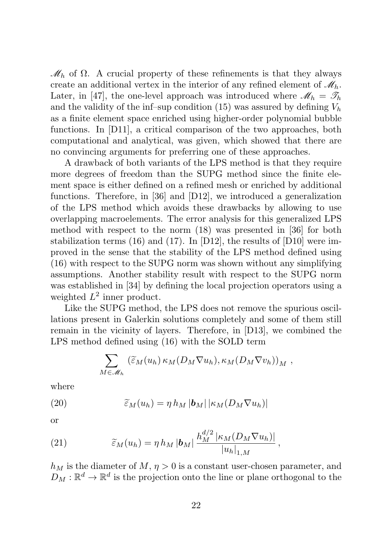$\mathcal{M}_h$  of  $\Omega$ . A crucial property of these refinements is that they always create an additional vertex in the interior of any refined element of  $\mathcal{M}_h$ . Later, in [47], the one-level approach was introduced where  $\mathcal{M}_h = \mathcal{T}_h$ and the validity of the inf–sup condition (15) was assured by defining  $V<sub>h</sub>$ as a finite element space enriched using higher-order polynomial bubble functions. In [D11], a critical comparison of the two approaches, both computational and analytical, was given, which showed that there are no convincing arguments for preferring one of these approaches.

A drawback of both variants of the LPS method is that they require more degrees of freedom than the SUPG method since the finite element space is either defined on a refined mesh or enriched by additional functions. Therefore, in [36] and [D12], we introduced a generalization of the LPS method which avoids these drawbacks by allowing to use overlapping macroelements. The error analysis for this generalized LPS method with respect to the norm (18) was presented in [36] for both stabilization terms (16) and (17). In [D12], the results of [D10] were improved in the sense that the stability of the LPS method defined using (16) with respect to the SUPG norm was shown without any simplifying assumptions. Another stability result with respect to the SUPG norm was established in [34] by defining the local projection operators using a weighted  $L^2$  inner product.

Like the SUPG method, the LPS does not remove the spurious oscillations present in Galerkin solutions completely and some of them still remain in the vicinity of layers. Therefore, in [D13], we combined the LPS method defined using (16) with the SOLD term

$$
\sum_{M\in\mathcal{M}_h} \left(\widetilde{\varepsilon}_M(u_h)\kappa_M(D_M\nabla u_h),\kappa_M(D_M\nabla v_h)\right)_M,
$$

where

(20) 
$$
\widetilde{\varepsilon}_M(u_h) = \eta h_M |\mathbf{b}_M| |\kappa_M(D_M \nabla u_h)|
$$

or

(21) 
$$
\widetilde{\varepsilon}_M(u_h) = \eta h_M |b_M| \frac{h_M^{d/2} |\kappa_M(D_M \nabla u_h)|}{|u_h|_{1,M}},
$$

 $h_M$  is the diameter of  $M, \eta > 0$  is a constant user-chosen parameter, and  $D_M: \mathbb{R}^d \to \mathbb{R}^d$  is the projection onto the line or plane orthogonal to the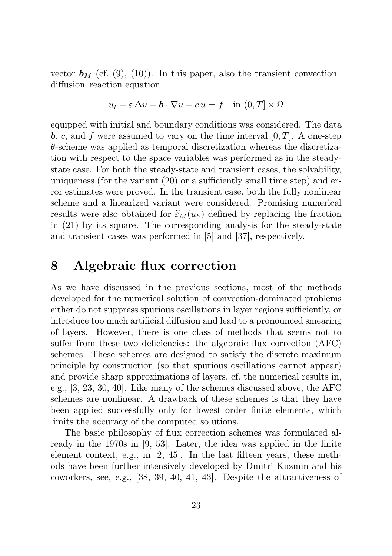vector  $\mathbf{b}_M$  (cf. (9), (10)). In this paper, also the transient convection– diffusion–reaction equation

$$
u_t - \varepsilon \Delta u + \mathbf{b} \cdot \nabla u + c u = f \quad \text{in } (0, T] \times \Omega
$$

equipped with initial and boundary conditions was considered. The data **b**, c, and f were assumed to vary on the time interval  $[0, T]$ . A one-step  $\theta$ -scheme was applied as temporal discretization whereas the discretization with respect to the space variables was performed as in the steadystate case. For both the steady-state and transient cases, the solvability, uniqueness (for the variant (20) or a sufficiently small time step) and error estimates were proved. In the transient case, both the fully nonlinear scheme and a linearized variant were considered. Promising numerical results were also obtained for  $\tilde{\varepsilon}_M(u_h)$  defined by replacing the fraction in (21) by its square. The corresponding analysis for the steady-state and transient cases was performed in [5] and [37], respectively.

### 8 Algebraic flux correction

As we have discussed in the previous sections, most of the methods developed for the numerical solution of convection-dominated problems either do not suppress spurious oscillations in layer regions sufficiently, or introduce too much artificial diffusion and lead to a pronounced smearing of layers. However, there is one class of methods that seems not to suffer from these two deficiencies: the algebraic flux correction (AFC) schemes. These schemes are designed to satisfy the discrete maximum principle by construction (so that spurious oscillations cannot appear) and provide sharp approximations of layers, cf. the numerical results in, e.g., [3, 23, 30, 40]. Like many of the schemes discussed above, the AFC schemes are nonlinear. A drawback of these schemes is that they have been applied successfully only for lowest order finite elements, which limits the accuracy of the computed solutions.

The basic philosophy of flux correction schemes was formulated already in the 1970s in [9, 53]. Later, the idea was applied in the finite element context, e.g., in [2, 45]. In the last fifteen years, these methods have been further intensively developed by Dmitri Kuzmin and his coworkers, see, e.g., [38, 39, 40, 41, 43]. Despite the attractiveness of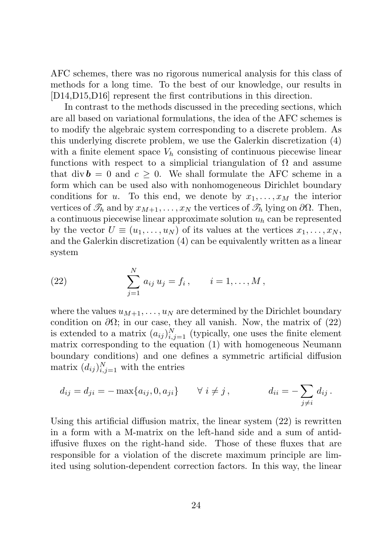AFC schemes, there was no rigorous numerical analysis for this class of methods for a long time. To the best of our knowledge, our results in [D14,D15,D16] represent the first contributions in this direction.

In contrast to the methods discussed in the preceding sections, which are all based on variational formulations, the idea of the AFC schemes is to modify the algebraic system corresponding to a discrete problem. As this underlying discrete problem, we use the Galerkin discretization (4) with a finite element space  $V<sub>h</sub>$  consisting of continuous piecewise linear functions with respect to a simplicial triangulation of  $\Omega$  and assume that div  $\mathbf{b} = 0$  and  $c > 0$ . We shall formulate the AFC scheme in a form which can be used also with nonhomogeneous Dirichlet boundary conditions for u. To this end, we denote by  $x_1, \ldots, x_M$  the interior vertices of  $\mathcal{T}_h$  and by  $x_{M+1}, \ldots, x_N$  the vertices of  $\mathcal{T}_h$  lying on  $\partial\Omega$ . Then, a continuous piecewise linear approximate solution  $u<sub>h</sub>$  can be represented by the vector  $U \equiv (u_1, \ldots, u_N)$  of its values at the vertices  $x_1, \ldots, x_N$ , and the Galerkin discretization (4) can be equivalently written as a linear system

(22) 
$$
\sum_{j=1}^{N} a_{ij} u_j = f_i, \qquad i = 1, ..., M,
$$

where the values  $u_{M+1}, \ldots, u_N$  are determined by the Dirichlet boundary condition on  $\partial\Omega$ ; in our case, they all vanish. Now, the matrix of (22) is extended to a matrix  $(a_{ij})_{i,j=1}^N$  (typically, one uses the finite element matrix corresponding to the equation (1) with homogeneous Neumann boundary conditions) and one defines a symmetric artificial diffusion matrix  $(d_{ij})_{i,j=1}^N$  with the entries

$$
d_{ij} = d_{ji} = -\max\{a_{ij}, 0, a_{ji}\} \quad \forall \ i \neq j, \qquad d_{ii} = -\sum_{j \neq i} d_{ij}.
$$

Using this artificial diffusion matrix, the linear system (22) is rewritten in a form with a M-matrix on the left-hand side and a sum of antidiffusive fluxes on the right-hand side. Those of these fluxes that are responsible for a violation of the discrete maximum principle are limited using solution-dependent correction factors. In this way, the linear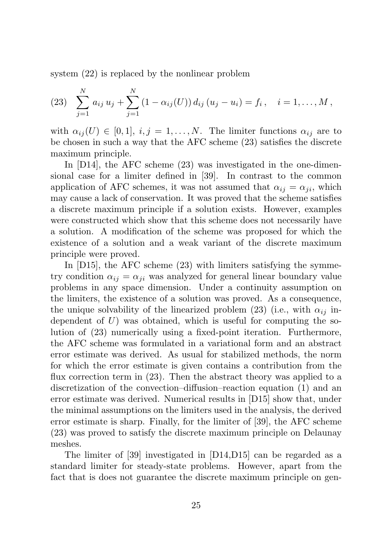system (22) is replaced by the nonlinear problem

(23) 
$$
\sum_{j=1}^{N} a_{ij} u_j + \sum_{j=1}^{N} (1 - \alpha_{ij}(U)) d_{ij} (u_j - u_i) = f_i, \quad i = 1, ..., M,
$$

with  $\alpha_{ij}(U) \in [0,1], i,j = 1,\ldots,N$ . The limiter functions  $\alpha_{ij}$  are to be chosen in such a way that the AFC scheme (23) satisfies the discrete maximum principle.

In [D14], the AFC scheme (23) was investigated in the one-dimensional case for a limiter defined in [39]. In contrast to the common application of AFC schemes, it was not assumed that  $\alpha_{ij} = \alpha_{ji}$ , which may cause a lack of conservation. It was proved that the scheme satisfies a discrete maximum principle if a solution exists. However, examples were constructed which show that this scheme does not necessarily have a solution. A modification of the scheme was proposed for which the existence of a solution and a weak variant of the discrete maximum principle were proved.

In [D15], the AFC scheme (23) with limiters satisfying the symmetry condition  $\alpha_{ij} = \alpha_{ji}$  was analyzed for general linear boundary value problems in any space dimension. Under a continuity assumption on the limiters, the existence of a solution was proved. As a consequence, the unique solvability of the linearized problem (23) (i.e., with  $\alpha_{ij}$  independent of  $U$ ) was obtained, which is useful for computing the solution of (23) numerically using a fixed-point iteration. Furthermore, the AFC scheme was formulated in a variational form and an abstract error estimate was derived. As usual for stabilized methods, the norm for which the error estimate is given contains a contribution from the flux correction term in (23). Then the abstract theory was applied to a discretization of the convection–diffusion–reaction equation (1) and an error estimate was derived. Numerical results in [D15] show that, under the minimal assumptions on the limiters used in the analysis, the derived error estimate is sharp. Finally, for the limiter of [39], the AFC scheme (23) was proved to satisfy the discrete maximum principle on Delaunay meshes.

The limiter of [39] investigated in [D14,D15] can be regarded as a standard limiter for steady-state problems. However, apart from the fact that is does not guarantee the discrete maximum principle on gen-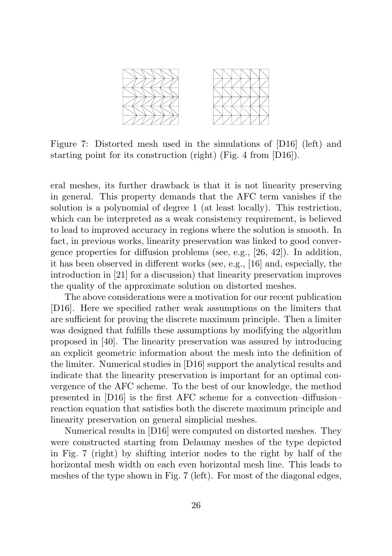

Figure 7: Distorted mesh used in the simulations of [D16] (left) and starting point for its construction (right) (Fig. 4 from [D16]).

eral meshes, its further drawback is that it is not linearity preserving in general. This property demands that the AFC term vanishes if the solution is a polynomial of degree 1 (at least locally). This restriction, which can be interpreted as a weak consistency requirement, is believed to lead to improved accuracy in regions where the solution is smooth. In fact, in previous works, linearity preservation was linked to good convergence properties for diffusion problems (see, e.g., [26, 42]). In addition, it has been observed in different works (see, e.g., [16] and, especially, the introduction in [21] for a discussion) that linearity preservation improves the quality of the approximate solution on distorted meshes.

The above considerations were a motivation for our recent publication [D16]. Here we specified rather weak assumptions on the limiters that are sufficient for proving the discrete maximum principle. Then a limiter was designed that fulfills these assumptions by modifying the algorithm proposed in [40]. The linearity preservation was assured by introducing an explicit geometric information about the mesh into the definition of the limiter. Numerical studies in [D16] support the analytical results and indicate that the linearity preservation is important for an optimal convergence of the AFC scheme. To the best of our knowledge, the method presented in [D16] is the first AFC scheme for a convection–diffusion– reaction equation that satisfies both the discrete maximum principle and linearity preservation on general simplicial meshes.

Numerical results in [D16] were computed on distorted meshes. They were constructed starting from Delaunay meshes of the type depicted in Fig. 7 (right) by shifting interior nodes to the right by half of the horizontal mesh width on each even horizontal mesh line. This leads to meshes of the type shown in Fig. 7 (left). For most of the diagonal edges,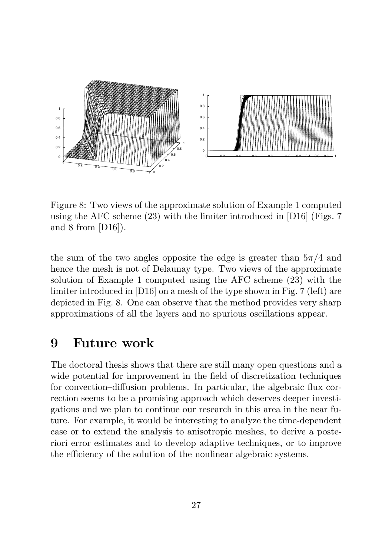

Figure 8: Two views of the approximate solution of Example 1 computed using the AFC scheme  $(23)$  with the limiter introduced in [D16] (Figs. 7) and 8 from [D16]).

the sum of the two angles opposite the edge is greater than  $5\pi/4$  and hence the mesh is not of Delaunay type. Two views of the approximate solution of Example 1 computed using the AFC scheme (23) with the limiter introduced in [D16] on a mesh of the type shown in Fig. 7 (left) are depicted in Fig. 8. One can observe that the method provides very sharp approximations of all the layers and no spurious oscillations appear.

#### 9 Future work

The doctoral thesis shows that there are still many open questions and a wide potential for improvement in the field of discretization techniques for convection–diffusion problems. In particular, the algebraic flux correction seems to be a promising approach which deserves deeper investigations and we plan to continue our research in this area in the near future. For example, it would be interesting to analyze the time-dependent case or to extend the analysis to anisotropic meshes, to derive a posteriori error estimates and to develop adaptive techniques, or to improve the efficiency of the solution of the nonlinear algebraic systems.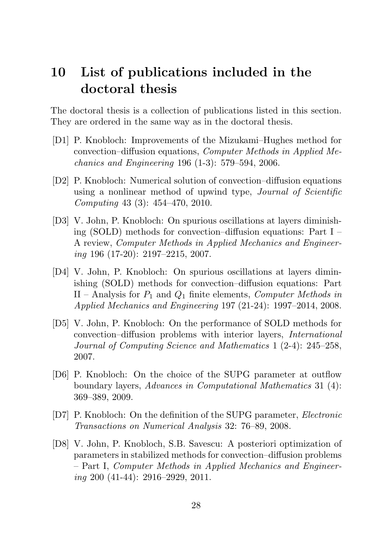### 10 List of publications included in the doctoral thesis

The doctoral thesis is a collection of publications listed in this section. They are ordered in the same way as in the doctoral thesis.

- [D1] P. Knobloch: Improvements of the Mizukami–Hughes method for convection–diffusion equations, Computer Methods in Applied Mechanics and Engineering 196 (1-3): 579–594, 2006.
- [D2] P. Knobloch: Numerical solution of convection–diffusion equations using a nonlinear method of upwind type, Journal of Scientific Computing 43 (3): 454–470, 2010.
- [D3] V. John, P. Knobloch: On spurious oscillations at layers diminishing (SOLD) methods for convection–diffusion equations: Part I – A review, Computer Methods in Applied Mechanics and Engineering 196 (17-20): 2197–2215, 2007.
- [D4] V. John, P. Knobloch: On spurious oscillations at layers diminishing (SOLD) methods for convection–diffusion equations: Part II – Analysis for  $P_1$  and  $Q_1$  finite elements, Computer Methods in Applied Mechanics and Engineering 197 (21-24): 1997–2014, 2008.
- [D5] V. John, P. Knobloch: On the performance of SOLD methods for convection–diffusion problems with interior layers, International Journal of Computing Science and Mathematics 1 (2-4): 245–258, 2007.
- [D6] P. Knobloch: On the choice of the SUPG parameter at outflow boundary layers, Advances in Computational Mathematics 31 (4): 369–389, 2009.
- [D7] P. Knobloch: On the definition of the SUPG parameter, Electronic Transactions on Numerical Analysis 32: 76–89, 2008.
- [D8] V. John, P. Knobloch, S.B. Savescu: A posteriori optimization of parameters in stabilized methods for convection–diffusion problems – Part I, Computer Methods in Applied Mechanics and Engineering 200 (41-44): 2916–2929, 2011.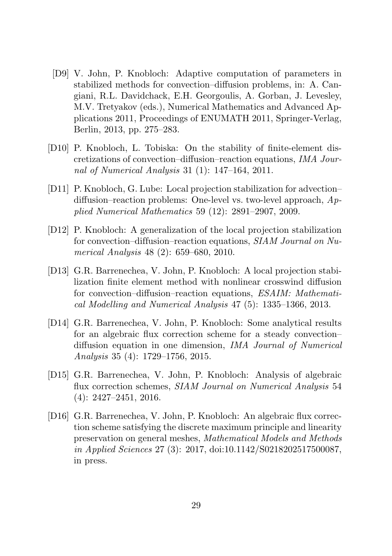- [D9] V. John, P. Knobloch: Adaptive computation of parameters in stabilized methods for convection–diffusion problems, in: A. Cangiani, R.L. Davidchack, E.H. Georgoulis, A. Gorban, J. Levesley, M.V. Tretyakov (eds.), Numerical Mathematics and Advanced Applications 2011, Proceedings of ENUMATH 2011, Springer-Verlag, Berlin, 2013, pp. 275–283.
- [D10] P. Knobloch, L. Tobiska: On the stability of finite-element discretizations of convection–diffusion–reaction equations, IMA Journal of Numerical Analysis 31 (1): 147–164, 2011.
- [D11] P. Knobloch, G. Lube: Local projection stabilization for advection– diffusion–reaction problems: One-level vs. two-level approach,  $Ap$ plied Numerical Mathematics 59 (12): 2891–2907, 2009.
- [D12] P. Knobloch: A generalization of the local projection stabilization for convection–diffusion–reaction equations, SIAM Journal on Numerical Analysis 48 (2): 659–680, 2010.
- [D13] G.R. Barrenechea, V. John, P. Knobloch: A local projection stabilization finite element method with nonlinear crosswind diffusion for convection–diffusion–reaction equations, ESAIM: Mathematical Modelling and Numerical Analysis 47 (5): 1335–1366, 2013.
- [D14] G.R. Barrenechea, V. John, P. Knobloch: Some analytical results for an algebraic flux correction scheme for a steady convection– diffusion equation in one dimension, IMA Journal of Numerical Analysis 35 (4): 1729–1756, 2015.
- [D15] G.R. Barrenechea, V. John, P. Knobloch: Analysis of algebraic flux correction schemes, SIAM Journal on Numerical Analysis 54 (4): 2427–2451, 2016.
- [D16] G.R. Barrenechea, V. John, P. Knobloch: An algebraic flux correction scheme satisfying the discrete maximum principle and linearity preservation on general meshes, Mathematical Models and Methods in Applied Sciences 27 (3): 2017, doi:10.1142/S0218202517500087, in press.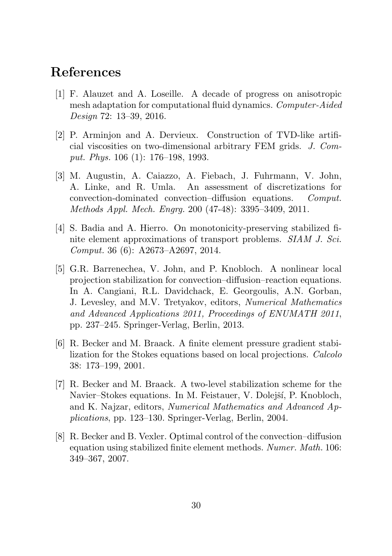### References

- [1] F. Alauzet and A. Loseille. A decade of progress on anisotropic mesh adaptation for computational fluid dynamics. Computer-Aided Design 72: 13–39, 2016.
- [2] P. Arminjon and A. Dervieux. Construction of TVD-like artificial viscosities on two-dimensional arbitrary FEM grids. J. Comput. Phys. 106 (1): 176–198, 1993.
- [3] M. Augustin, A. Caiazzo, A. Fiebach, J. Fuhrmann, V. John, A. Linke, and R. Umla. An assessment of discretizations for convection-dominated convection–diffusion equations. Comput. Methods Appl. Mech. Engrg. 200 (47-48): 3395–3409, 2011.
- [4] S. Badia and A. Hierro. On monotonicity-preserving stabilized finite element approximations of transport problems. SIAM J. Sci. Comput. 36 (6): A2673–A2697, 2014.
- [5] G.R. Barrenechea, V. John, and P. Knobloch. A nonlinear local projection stabilization for convection–diffusion–reaction equations. In A. Cangiani, R.L. Davidchack, E. Georgoulis, A.N. Gorban, J. Levesley, and M.V. Tretyakov, editors, Numerical Mathematics and Advanced Applications 2011, Proceedings of ENUMATH 2011, pp. 237–245. Springer-Verlag, Berlin, 2013.
- [6] R. Becker and M. Braack. A finite element pressure gradient stabilization for the Stokes equations based on local projections. Calcolo 38: 173–199, 2001.
- [7] R. Becker and M. Braack. A two-level stabilization scheme for the Navier–Stokes equations. In M. Feistauer, V. Dolejší, P. Knobloch, and K. Najzar, editors, Numerical Mathematics and Advanced Applications, pp. 123–130. Springer-Verlag, Berlin, 2004.
- [8] R. Becker and B. Vexler. Optimal control of the convection–diffusion equation using stabilized finite element methods. Numer. Math. 106: 349–367, 2007.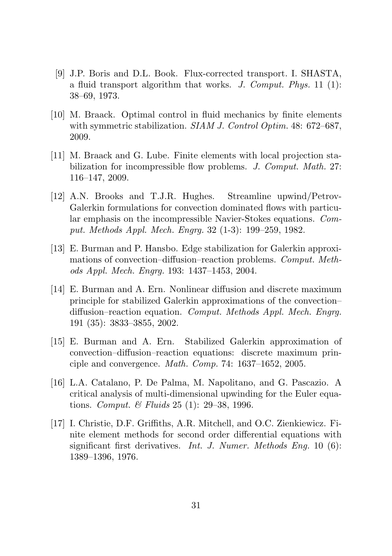- [9] J.P. Boris and D.L. Book. Flux-corrected transport. I. SHASTA, a fluid transport algorithm that works. J. Comput. Phys.  $11$  (1): 38–69, 1973.
- [10] M. Braack. Optimal control in fluid mechanics by finite elements with symmetric stabilization. SIAM J. Control Optim. 48: 672–687, 2009.
- [11] M. Braack and G. Lube. Finite elements with local projection stabilization for incompressible flow problems. J. Comput. Math. 27: 116–147, 2009.
- [12] A.N. Brooks and T.J.R. Hughes. Streamline upwind/Petrov-Galerkin formulations for convection dominated flows with particular emphasis on the incompressible Navier-Stokes equations. Comput. Methods Appl. Mech. Engrg. 32 (1-3): 199–259, 1982.
- [13] E. Burman and P. Hansbo. Edge stabilization for Galerkin approximations of convection–diffusion–reaction problems. Comput. Methods Appl. Mech. Engrg. 193: 1437–1453, 2004.
- [14] E. Burman and A. Ern. Nonlinear diffusion and discrete maximum principle for stabilized Galerkin approximations of the convection– diffusion–reaction equation. *Comput. Methods Appl. Mech. Engrg.* 191 (35): 3833–3855, 2002.
- [15] E. Burman and A. Ern. Stabilized Galerkin approximation of convection–diffusion–reaction equations: discrete maximum principle and convergence. Math. Comp. 74: 1637–1652, 2005.
- [16] L.A. Catalano, P. De Palma, M. Napolitano, and G. Pascazio. A critical analysis of multi-dimensional upwinding for the Euler equations. Comput. & Fluids 25 (1): 29–38, 1996.
- [17] I. Christie, D.F. Griffiths, A.R. Mitchell, and O.C. Zienkiewicz. Finite element methods for second order differential equations with significant first derivatives. *Int. J. Numer. Methods Eng.* 10 (6): 1389–1396, 1976.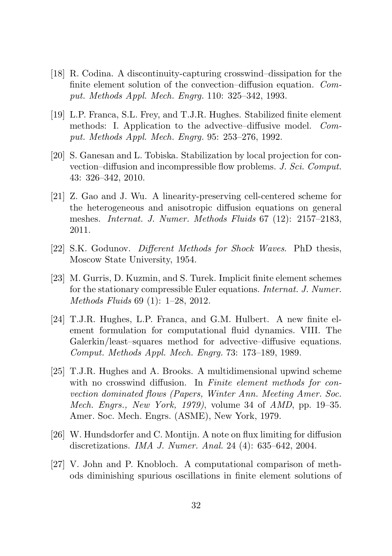- [18] R. Codina. A discontinuity-capturing crosswind–dissipation for the finite element solution of the convection–diffusion equation. Comput. Methods Appl. Mech. Engrg. 110: 325–342, 1993.
- [19] L.P. Franca, S.L. Frey, and T.J.R. Hughes. Stabilized finite element methods: I. Application to the advective–diffusive model. Comput. Methods Appl. Mech. Engrg. 95: 253–276, 1992.
- [20] S. Ganesan and L. Tobiska. Stabilization by local projection for convection–diffusion and incompressible flow problems. J. Sci. Comput. 43: 326–342, 2010.
- [21] Z. Gao and J. Wu. A linearity-preserving cell-centered scheme for the heterogeneous and anisotropic diffusion equations on general meshes. Internat. J. Numer. Methods Fluids 67 (12): 2157–2183, 2011.
- [22] S.K. Godunov. Different Methods for Shock Waves. PhD thesis, Moscow State University, 1954.
- [23] M. Gurris, D. Kuzmin, and S. Turek. Implicit finite element schemes for the stationary compressible Euler equations. Internat. J. Numer. Methods Fluids 69 (1): 1–28, 2012.
- [24] T.J.R. Hughes, L.P. Franca, and G.M. Hulbert. A new finite element formulation for computational fluid dynamics. VIII. The Galerkin/least–squares method for advective–diffusive equations. Comput. Methods Appl. Mech. Engrg. 73: 173–189, 1989.
- [25] T.J.R. Hughes and A. Brooks. A multidimensional upwind scheme with no crosswind diffusion. In Finite element methods for convection dominated flows (Papers, Winter Ann. Meeting Amer. Soc. Mech. Engrs., New York, 1979), volume 34 of AMD, pp. 19–35. Amer. Soc. Mech. Engrs. (ASME), New York, 1979.
- [26] W. Hundsdorfer and C. Montijn. A note on flux limiting for diffusion discretizations. IMA J. Numer. Anal. 24 (4): 635–642, 2004.
- [27] V. John and P. Knobloch. A computational comparison of methods diminishing spurious oscillations in finite element solutions of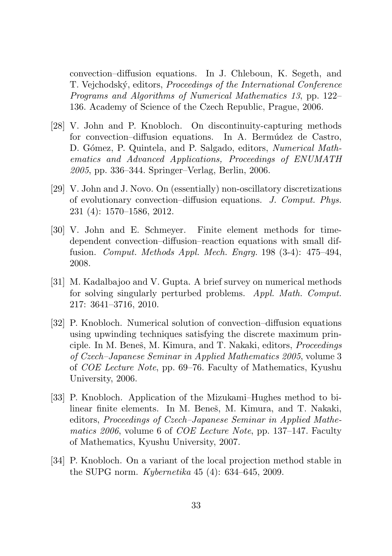convection–diffusion equations. In J. Chleboun, K. Segeth, and T. Vejchodský, editors, *Proceedings of the International Conference* Programs and Algorithms of Numerical Mathematics 13, pp. 122– 136. Academy of Science of the Czech Republic, Prague, 2006.

- [28] V. John and P. Knobloch. On discontinuity-capturing methods for convection–diffusion equations. In A. Bermúdez de Castro, D. Gómez, P. Quintela, and P. Salgado, editors, *Numerical Math*ematics and Advanced Applications, Proceedings of ENUMATH 2005, pp. 336–344. Springer–Verlag, Berlin, 2006.
- [29] V. John and J. Novo. On (essentially) non-oscillatory discretizations of evolutionary convection–diffusion equations. J. Comput. Phys. 231 (4): 1570–1586, 2012.
- [30] V. John and E. Schmeyer. Finite element methods for timedependent convection–diffusion–reaction equations with small diffusion. Comput. Methods Appl. Mech. Engrg. 198 (3-4): 475–494, 2008.
- [31] M. Kadalbajoo and V. Gupta. A brief survey on numerical methods for solving singularly perturbed problems. Appl. Math. Comput. 217: 3641–3716, 2010.
- [32] P. Knobloch. Numerical solution of convection–diffusion equations using upwinding techniques satisfying the discrete maximum principle. In M. Beneš, M. Kimura, and T. Nakaki, editors, *Proceedings* of Czech–Japanese Seminar in Applied Mathematics 2005, volume 3 of COE Lecture Note, pp. 69–76. Faculty of Mathematics, Kyushu University, 2006.
- [33] P. Knobloch. Application of the Mizukami–Hughes method to bilinear finite elements. In M. Beneš, M. Kimura, and T. Nakaki, editors, Proceedings of Czech–Japanese Seminar in Applied Mathematics 2006, volume 6 of COE Lecture Note, pp. 137–147. Faculty of Mathematics, Kyushu University, 2007.
- [34] P. Knobloch. On a variant of the local projection method stable in the SUPG norm. Kybernetika 45 (4): 634–645, 2009.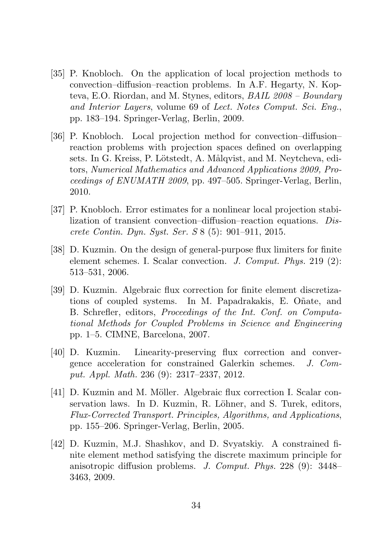- [35] P. Knobloch. On the application of local projection methods to convection–diffusion–reaction problems. In A.F. Hegarty, N. Kopteva, E.O. Riordan, and M. Stynes, editors, BAIL 2008 – Boundary and Interior Layers, volume 69 of Lect. Notes Comput. Sci. Eng., pp. 183–194. Springer-Verlag, Berlin, 2009.
- [36] P. Knobloch. Local projection method for convection–diffusion– reaction problems with projection spaces defined on overlapping sets. In G. Kreiss, P. Lötstedt, A. Målqvist, and M. Neytcheva, editors, Numerical Mathematics and Advanced Applications 2009, Proceedings of ENUMATH 2009, pp. 497–505. Springer-Verlag, Berlin, 2010.
- [37] P. Knobloch. Error estimates for a nonlinear local projection stabilization of transient convection–diffusion–reaction equations. Discrete Contin. Dyn. Syst. Ser. S 8 (5): 901–911, 2015.
- [38] D. Kuzmin. On the design of general-purpose flux limiters for finite element schemes. I. Scalar convection. J. Comput. Phys. 219 (2): 513–531, 2006.
- [39] D. Kuzmin. Algebraic flux correction for finite element discretizations of coupled systems. In M. Papadrakakis, E. Oñate, and B. Schrefler, editors, Proceedings of the Int. Conf. on Computational Methods for Coupled Problems in Science and Engineering pp. 1–5. CIMNE, Barcelona, 2007.
- [40] D. Kuzmin. Linearity-preserving flux correction and convergence acceleration for constrained Galerkin schemes. J. Comput. Appl. Math. 236 (9): 2317–2337, 2012.
- [41] D. Kuzmin and M. Möller. Algebraic flux correction I. Scalar conservation laws. In D. Kuzmin, R. Löhner, and S. Turek, editors, Flux-Corrected Transport. Principles, Algorithms, and Applications, pp. 155–206. Springer-Verlag, Berlin, 2005.
- [42] D. Kuzmin, M.J. Shashkov, and D. Svyatskiy. A constrained finite element method satisfying the discrete maximum principle for anisotropic diffusion problems. J. Comput. Phys. 228 (9): 3448– 3463, 2009.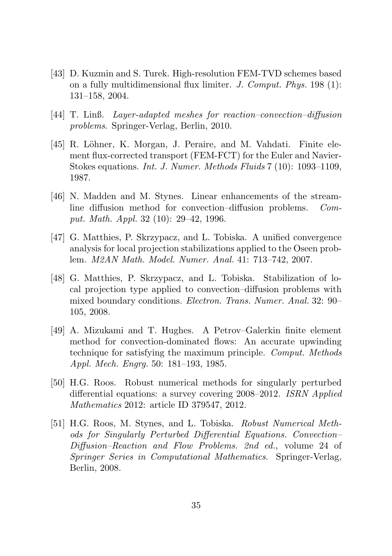- [43] D. Kuzmin and S. Turek. High-resolution FEM-TVD schemes based on a fully multidimensional flux limiter. J. Comput. Phys. 198 (1): 131–158, 2004.
- [44] T. Linß. Layer-adapted meshes for reaction–convection–diffusion problems. Springer-Verlag, Berlin, 2010.
- [45] R. Löhner, K. Morgan, J. Peraire, and M. Vahdati. Finite element flux-corrected transport (FEM-FCT) for the Euler and Navier-Stokes equations. Int. J. Numer. Methods Fluids 7 (10): 1093–1109, 1987.
- [46] N. Madden and M. Stynes. Linear enhancements of the streamline diffusion method for convection–diffusion problems. Comput. Math. Appl. 32 (10): 29–42, 1996.
- [47] G. Matthies, P. Skrzypacz, and L. Tobiska. A unified convergence analysis for local projection stabilizations applied to the Oseen problem. M2AN Math. Model. Numer. Anal. 41: 713–742, 2007.
- [48] G. Matthies, P. Skrzypacz, and L. Tobiska. Stabilization of local projection type applied to convection–diffusion problems with mixed boundary conditions. Electron. Trans. Numer. Anal. 32: 90– 105, 2008.
- [49] A. Mizukami and T. Hughes. A Petrov–Galerkin finite element method for convection-dominated flows: An accurate upwinding technique for satisfying the maximum principle. Comput. Methods Appl. Mech. Engrg. 50: 181–193, 1985.
- [50] H.G. Roos. Robust numerical methods for singularly perturbed differential equations: a survey covering 2008–2012. ISRN Applied Mathematics 2012: article ID 379547, 2012.
- [51] H.G. Roos, M. Stynes, and L. Tobiska. Robust Numerical Methods for Singularly Perturbed Differential Equations. Convection– Diffusion–Reaction and Flow Problems. 2nd ed., volume 24 of Springer Series in Computational Mathematics. Springer-Verlag, Berlin, 2008.